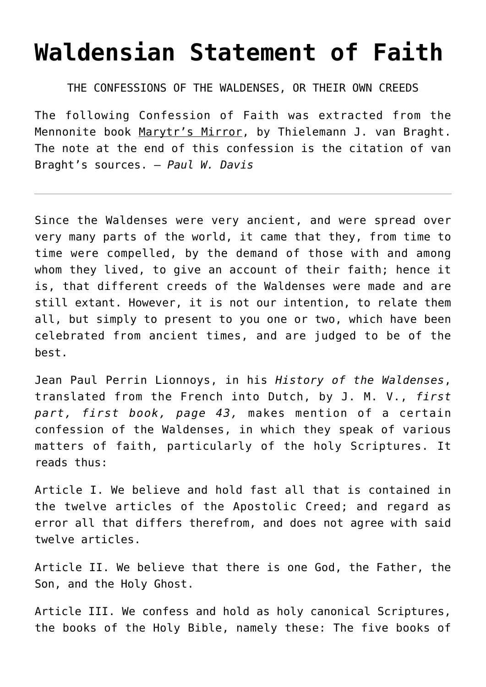## **[Waldensian Statement of Faith](http://reproachofmen.org/the-church/waldensian-statement-of-faith/)**

THE CONFESSIONS OF THE WALDENSES, OR THEIR OWN CREEDS

The following Confession of Faith was extracted from the Mennonite book Marytr's Mirror, by Thielemann J. van Braght. The note at the end of this confession is the citation of van Braght's sources. — *Paul W. Davis*

Since the Waldenses were very ancient, and were spread over very many parts of the world, it came that they, from time to time were compelled, by the demand of those with and among whom they lived, to give an account of their faith; hence it is, that different creeds of the Waldenses were made and are still extant. However, it is not our intention, to relate them all, but simply to present to you one or two, which have been celebrated from ancient times, and are judged to be of the best.

Jean Paul Perrin Lionnoys, in his *History of the Waldenses*, translated from the French into Dutch, by J. M. V., *first part, first book, page 43,* makes mention of a certain confession of the Waldenses, in which they speak of various matters of faith, particularly of the holy Scriptures. It reads thus:

Article I. We believe and hold fast all that is contained in the twelve articles of the Apostolic Creed; and regard as error all that differs therefrom, and does not agree with said twelve articles.

Article II. We believe that there is one God, the Father, the Son, and the Holy Ghost.

Article III. We confess and hold as holy canonical Scriptures, the books of the Holy Bible, namely these: The five books of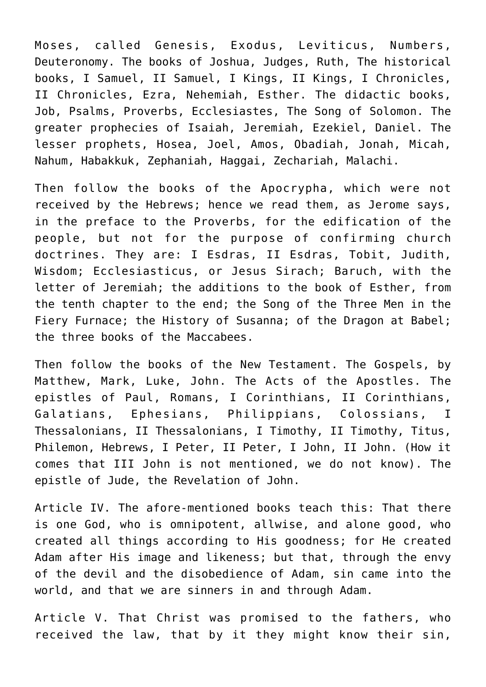Moses, called Genesis, Exodus, Leviticus, Numbers, Deuteronomy. The books of Joshua, Judges, Ruth, The historical books, I Samuel, II Samuel, I Kings, II Kings, I Chronicles, II Chronicles, Ezra, Nehemiah, Esther. The didactic books, Job, Psalms, Proverbs, Ecclesiastes, The Song of Solomon. The greater prophecies of Isaiah, Jeremiah, Ezekiel, Daniel. The lesser prophets, Hosea, Joel, Amos, Obadiah, Jonah, Micah, Nahum, Habakkuk, Zephaniah, Haggai, Zechariah, Malachi.

Then follow the books of the Apocrypha, which were not received by the Hebrews; hence we read them, as Jerome says, in the preface to the Proverbs, for the edification of the people, but not for the purpose of confirming church doctrines. They are: I Esdras, II Esdras, Tobit, Judith, Wisdom; Ecclesiasticus, or Jesus Sirach; Baruch, with the letter of Jeremiah; the additions to the book of Esther, from the tenth chapter to the end; the Song of the Three Men in the Fiery Furnace; the History of Susanna; of the Dragon at Babel; the three books of the Maccabees.

Then follow the books of the New Testament. The Gospels, by Matthew, Mark, Luke, John. The Acts of the Apostles. The epistles of Paul, Romans, I Corinthians, II Corinthians, Galatians, Ephesians, Philippians, Colossians, I Thessalonians, II Thessalonians, I Timothy, II Timothy, Titus, Philemon, Hebrews, I Peter, II Peter, I John, II John. (How it comes that III John is not mentioned, we do not know). The epistle of Jude, the Revelation of John.

Article IV. The afore-mentioned books teach this: That there is one God, who is omnipotent, allwise, and alone good, who created all things according to His goodness; for He created Adam after His image and likeness; but that, through the envy of the devil and the disobedience of Adam, sin came into the world, and that we are sinners in and through Adam.

Article V. That Christ was promised to the fathers, who received the law, that by it they might know their sin,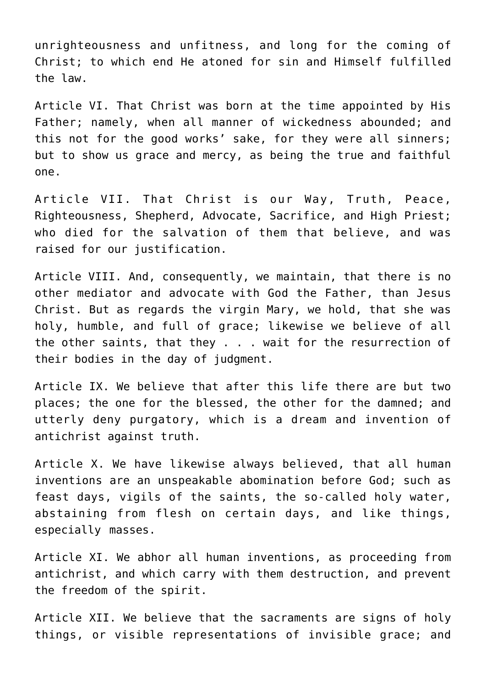unrighteousness and unfitness, and long for the coming of Christ; to which end He atoned for sin and Himself fulfilled the law.

Article VI. That Christ was born at the time appointed by His Father; namely, when all manner of wickedness abounded; and this not for the good works' sake, for they were all sinners; but to show us grace and mercy, as being the true and faithful one.

Article VII. That Christ is our Way, Truth, Peace, Righteousness, Shepherd, Advocate, Sacrifice, and High Priest; who died for the salvation of them that believe, and was raised for our iustification.

Article VIII. And, consequently, we maintain, that there is no other mediator and advocate with God the Father, than Jesus Christ. But as regards the virgin Mary, we hold, that she was holy, humble, and full of grace; likewise we believe of all the other saints, that they . . . wait for the resurrection of their bodies in the day of judgment.

Article IX. We believe that after this life there are but two places; the one for the blessed, the other for the damned; and utterly deny purgatory, which is a dream and invention of antichrist against truth.

Article X. We have likewise always believed, that all human inventions are an unspeakable abomination before God; such as feast days, vigils of the saints, the so-called holy water, abstaining from flesh on certain days, and like things, especially masses.

Article XI. We abhor all human inventions, as proceeding from antichrist, and which carry with them destruction, and prevent the freedom of the spirit.

Article XII. We believe that the sacraments are signs of holy things, or visible representations of invisible grace; and